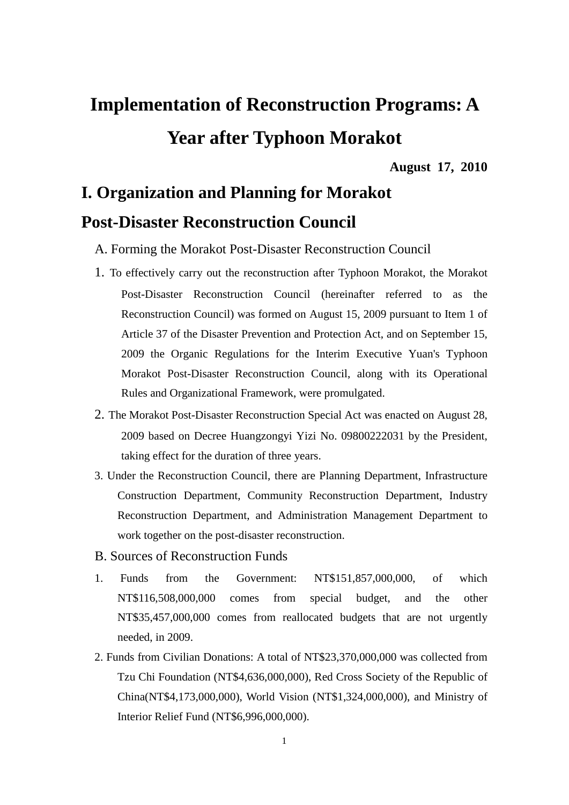# **Implementation of Reconstruction Programs: A Year after Typhoon Morakot**

**August 17, 2010**

# **I. Organization and Planning for Morakot**

### **Post-Disaster Reconstruction Council**

- A. Forming the Morakot Post-Disaster Reconstruction Council
- 1. To effectively carry out the reconstruction after Typhoon Morakot, the Morakot Post-Disaster Reconstruction Council (hereinafter referred to as the Reconstruction Council) was formed on August 15, 2009 pursuant to Item 1 of Article 37 of the Disaster Prevention and Protection Act, and on September 15, 2009 the Organic Regulations for the Interim Executive Yuan's Typhoon Morakot Post-Disaster Reconstruction Council, along with its Operational Rules and Organizational Framework, were promulgated.
- 2. The Morakot Post-Disaster Reconstruction Special Act was enacted on August 28, 2009 based on Decree Huangzongyi Yizi No. 09800222031 by the President, taking effect for the duration of three years.
- 3. Under the Reconstruction Council, there are Planning Department, Infrastructure Construction Department, Community Reconstruction Department, Industry Reconstruction Department, and Administration Management Department to work together on the post-disaster reconstruction.
- B. Sources of Reconstruction Funds
- 1. Funds from the Government: NT\$151,857,000,000, of which NT\$116,508,000,000 comes from special budget, and the other NT\$35,457,000,000 comes from reallocated budgets that are not urgently needed, in 2009.
- 2. Funds from Civilian Donations: A total of NT\$23,370,000,000 was collected from Tzu Chi Foundation (NT\$4,636,000,000), Red Cross Society of the Republic of China(NT\$4,173,000,000), World Vision (NT\$1,324,000,000), and Ministry of Interior Relief Fund (NT\$6,996,000,000).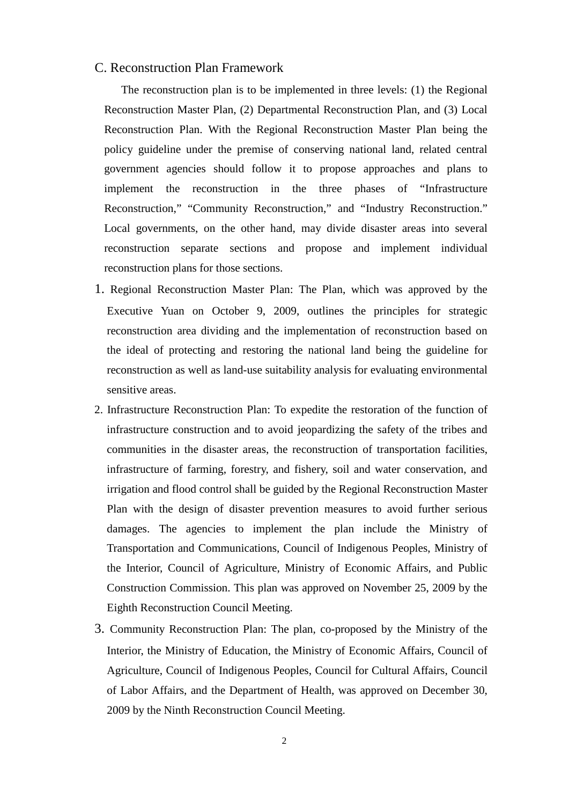#### C. Reconstruction Plan Framework

The reconstruction plan is to be implemented in three levels: (1) the Regional Reconstruction Master Plan, (2) Departmental Reconstruction Plan, and (3) Local Reconstruction Plan. With the Regional Reconstruction Master Plan being the policy guideline under the premise of conserving national land, related central government agencies should follow it to propose approaches and plans to implement the reconstruction in the three phases of "Infrastructure Reconstruction," "Community Reconstruction," and "Industry Reconstruction." Local governments, on the other hand, may divide disaster areas into several reconstruction separate sections and propose and implement individual reconstruction plans for those sections.

- 1. Regional Reconstruction Master Plan: The Plan, which was approved by the Executive Yuan on October 9, 2009, outlines the principles for strategic reconstruction area dividing and the implementation of reconstruction based on the ideal of protecting and restoring the national land being the guideline for reconstruction as well as land-use suitability analysis for evaluating environmental sensitive areas.
- 2. Infrastructure Reconstruction Plan: To expedite the restoration of the function of infrastructure construction and to avoid jeopardizing the safety of the tribes and communities in the disaster areas, the reconstruction of transportation facilities, infrastructure of farming, forestry, and fishery, soil and water conservation, and irrigation and flood control shall be guided by the Regional Reconstruction Master Plan with the design of disaster prevention measures to avoid further serious damages. The agencies to implement the plan include the Ministry of Transportation and Communications, Council of Indigenous Peoples, Ministry of the Interior, Council of Agriculture, Ministry of Economic Affairs, and Public Construction Commission. This plan was approved on November 25, 2009 by the Eighth Reconstruction Council Meeting.
- 3. Community Reconstruction Plan: The plan, co-proposed by the Ministry of the Interior, the Ministry of Education, the Ministry of Economic Affairs, Council of Agriculture, Council of Indigenous Peoples, Council for Cultural Affairs, Council of Labor Affairs, and the Department of Health, was approved on December 30, 2009 by the Ninth Reconstruction Council Meeting.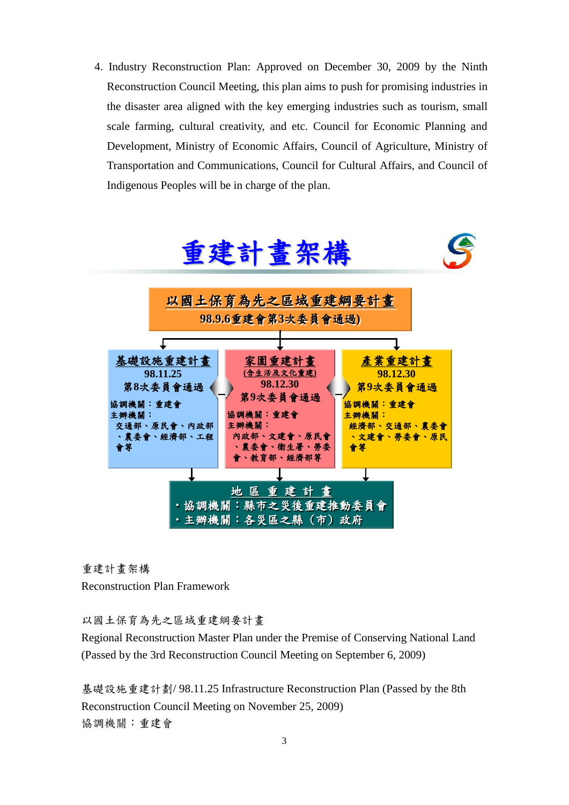4. Industry Reconstruction Plan: Approved on December 30, 2009 by the Ninth Reconstruction Council Meeting, this plan aims to push for promising industries in the disaster area aligned with the key emerging industries such as tourism, small scale farming, cultural creativity, and etc. Council for Economic Planning and Development, Ministry of Economic Affairs, Council of Agriculture, Ministry of Transportation and Communications, Council for Cultural Affairs, and Council of Indigenous Peoples will be in charge of the plan.



重建計畫架構

Reconstruction Plan Framework

以國土保育為先之區域重建綱要計畫

Regional Reconstruction Master Plan under the Premise of Conserving National Land (Passed by the 3rd Reconstruction Council Meeting on September 6, 2009)

基礎設施重建計劃/ 98.11.25 Infrastructure Reconstruction Plan (Passed by the 8th Reconstruction Council Meeting on November 25, 2009) 協調機關:重建會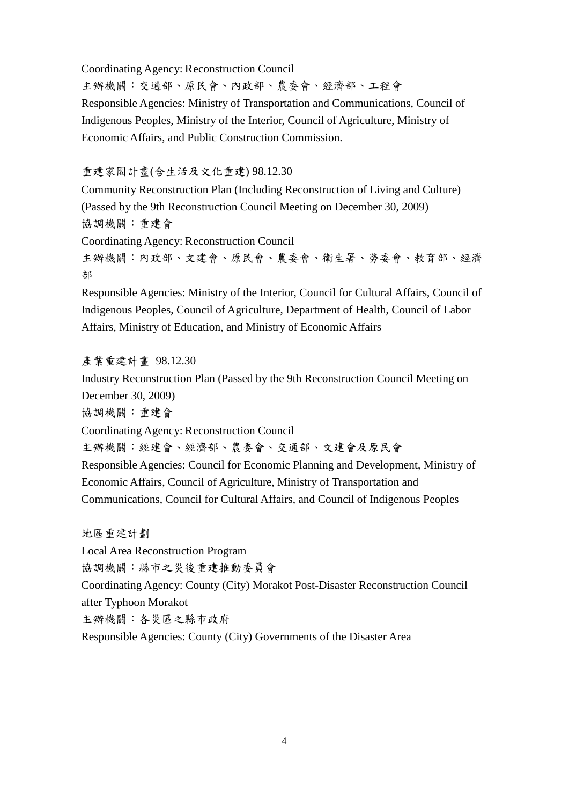Coordinating Agency: Reconstruction Council

主辦機關:交通部、原民會、內政部、農委會、經濟部、工程會 Responsible Agencies: Ministry of Transportation and Communications, Council of Indigenous Peoples, Ministry of the Interior, Council of Agriculture, Ministry of Economic Affairs, and Public Construction Commission.

#### 重建家園計畫(含生活及文化重建) 98.12.30

Community Reconstruction Plan (Including Reconstruction of Living and Culture) (Passed by the 9th Reconstruction Council Meeting on December 30, 2009) 協調機關:重建會

Coordinating Agency: Reconstruction Council 主辦機關:內政部、文建會、原民會、農委會、衛生署、勞委會、教育部、經濟 部

Responsible Agencies: Ministry of the Interior, Council for Cultural Affairs, Council of Indigenous Peoples, Council of Agriculture, Department of Health, Council of Labor Affairs, Ministry of Education, and Ministry of Economic Affairs

#### 產業重建計畫 98.12.30

Industry Reconstruction Plan (Passed by the 9th Reconstruction Council Meeting on December 30, 2009)

協調機關:重建會

Coordinating Agency: Reconstruction Council

主辦機關:經建會、經濟部、農委會、交通部、文建會及原民會

Responsible Agencies: Council for Economic Planning and Development, Ministry of Economic Affairs, Council of Agriculture, Ministry of Transportation and Communications, Council for Cultural Affairs, and Council of Indigenous Peoples

地區重建計劃 Local Area Reconstruction Program

協調機關:縣市之災後重建推動委員會

Coordinating Agency: County (City) Morakot Post-Disaster Reconstruction Council after Typhoon Morakot

主辦機關:各災區之縣市政府

Responsible Agencies: County (City) Governments of the Disaster Area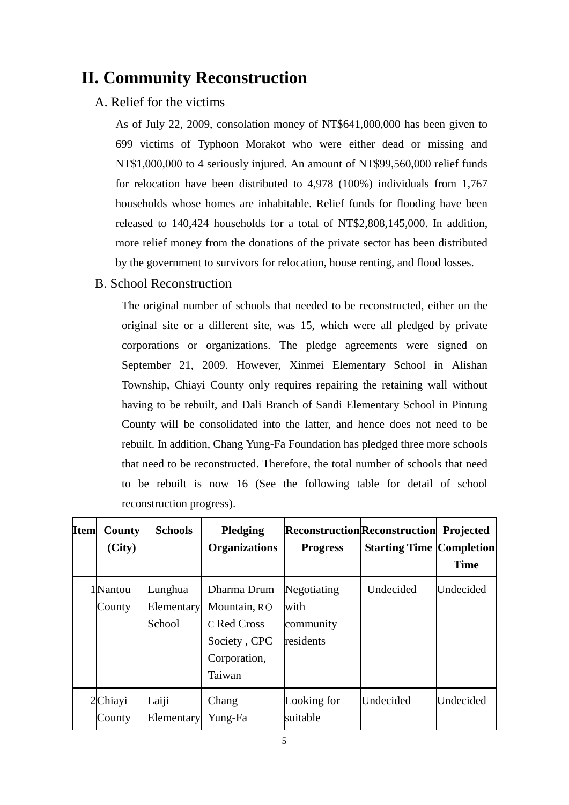### **II. Community Reconstruction**

### A. Relief for the victims

As of July 22, 2009, consolation money of NT\$641,000,000 has been given to 699 victims of Typhoon Morakot who were either dead or missing and NT\$1,000,000 to 4 seriously injured. An amount of NT\$99,560,000 relief funds for relocation have been distributed to 4,978 (100%) individuals from 1,767 households whose homes are inhabitable. Relief funds for flooding have been released to 140,424 households for a total of NT\$2,808,145,000. In addition, more relief money from the donations of the private sector has been distributed by the government to survivors for relocation, house renting, and flood losses.

#### B. School Reconstruction

The original number of schools that needed to be reconstructed, either on the original site or a different site, was 15, which were all pledged by private corporations or organizations. The pledge agreements were signed on September 21, 2009. However, Xinmei Elementary School in Alishan Township, Chiayi County only requires repairing the retaining wall without having to be rebuilt, and Dali Branch of Sandi Elementary School in Pintung County will be consolidated into the latter, and hence does not need to be rebuilt. In addition, Chang Yung-Fa Foundation has pledged three more schools that need to be reconstructed. Therefore, the total number of schools that need to be rebuilt is now 16 (See the following table for detail of school reconstruction progress).

| <b>Item</b> | County<br>(City)   | <b>Schools</b>                  | Pledging<br><b>Organizations</b>                                                     | <b>Reconstruction Reconstruction Projected</b><br><b>Progress</b> | <b>Starting Time Completion</b> | <b>Time</b> |
|-------------|--------------------|---------------------------------|--------------------------------------------------------------------------------------|-------------------------------------------------------------------|---------------------------------|-------------|
|             | 1 Nantou<br>County | Lunghua<br>Elementary<br>School | Dharma Drum<br>Mountain, RO<br>C Red Cross<br>Society, CPC<br>Corporation,<br>Taiwan | Negotiating<br>with<br>community<br>residents                     | Undecided                       | Undecided   |
|             | 2Chiayi<br>County  | Laiji<br>Elementary             | Chang<br>Yung-Fa                                                                     | Looking for<br>suitable                                           | Undecided                       | Undecided   |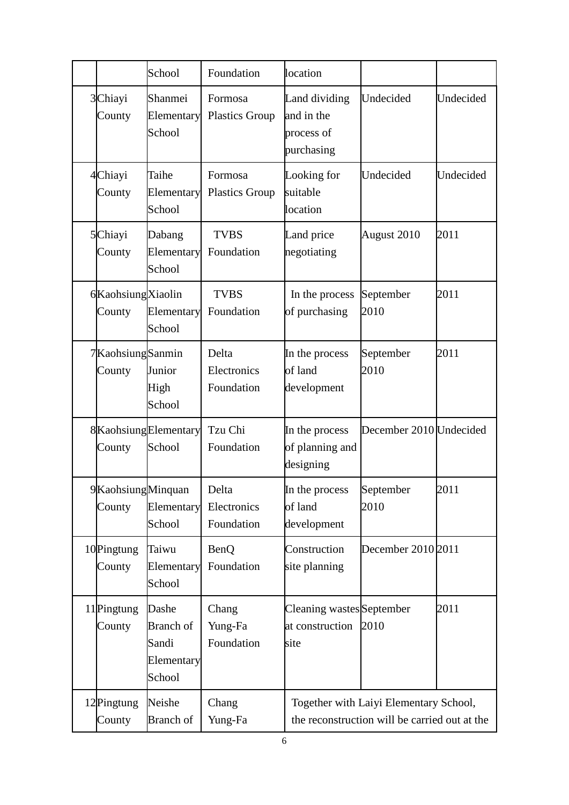|                             | School                                                     | Foundation                         | location                                                |                                                                                         |           |
|-----------------------------|------------------------------------------------------------|------------------------------------|---------------------------------------------------------|-----------------------------------------------------------------------------------------|-----------|
| 3Chiayi<br>County           | Shanmei<br>Elementary<br>School                            | Formosa<br><b>Plastics Group</b>   | Land dividing<br>and in the<br>process of<br>purchasing | Undecided                                                                               | Undecided |
| 4Chiayi<br>County           | Taihe<br>Elementary<br>School                              | Formosa<br><b>Plastics Group</b>   | Looking for<br>suitable<br>location                     | Undecided                                                                               | Undecided |
| 5Chiayi<br>County           | Dabang<br>Elementary<br>School                             | <b>TVBS</b><br>Foundation          | Land price<br>negotiating                               | August 2010                                                                             | 2011      |
| 6KaohsiungXiaolin<br>County | Elementary<br>School                                       | <b>TVBS</b><br>Foundation          | In the process<br>of purchasing                         | September<br>2010                                                                       | 2011      |
| 7KaohsiungSanmin<br>County  | Junior<br>High<br>School                                   | Delta<br>Electronics<br>Foundation | In the process<br>of land<br>development                | September<br>2010                                                                       | 2011      |
| County                      | 8KaohsiungElementary<br>School                             | Tzu Chi<br>Foundation              | In the process<br>of planning and<br>designing          | December 2010 Undecided                                                                 |           |
| 9KaohsiungMinquan<br>County | Elementary<br>School                                       | Delta<br>Electronics<br>Foundation | In the process<br>of land<br>development                | September<br>2010                                                                       | 2011      |
| 10Pingtung<br>County        | Taiwu<br>Elementary<br>School                              | BenQ<br>Foundation                 | Construction<br>site planning                           | December 2010 2011                                                                      |           |
| 11 Pingtung<br>County       | Dashe<br><b>Branch</b> of<br>Sandi<br>Elementary<br>School | Chang<br>Yung-Fa<br>Foundation     | Cleaning wastes September<br>at construction<br>site    | 2010                                                                                    | 2011      |
| 12Pingtung<br>County        | Neishe<br><b>Branch</b> of                                 | Chang<br>Yung-Fa                   |                                                         | Together with Laiyi Elementary School,<br>the reconstruction will be carried out at the |           |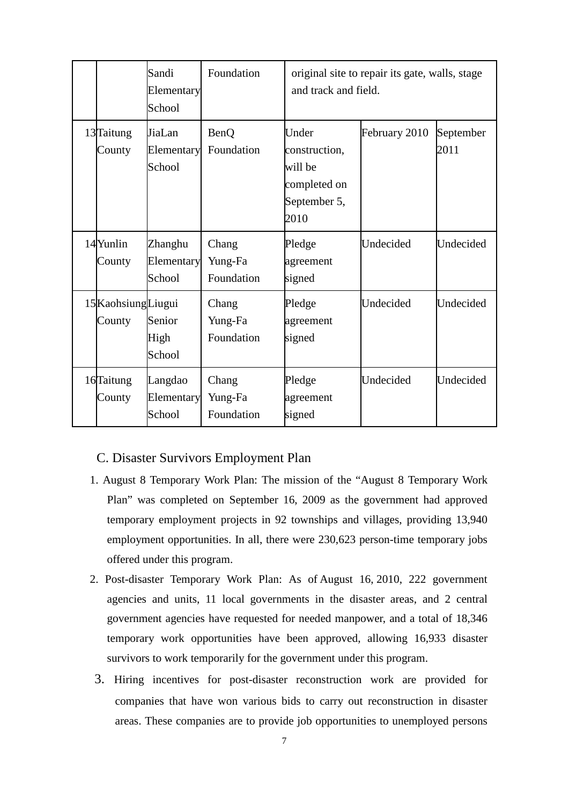|                               | Sandi<br>Elementary<br>School   | Foundation                     | original site to repair its gate, walls, stage<br>and track and field.    |               |                   |
|-------------------------------|---------------------------------|--------------------------------|---------------------------------------------------------------------------|---------------|-------------------|
| 13Taitung<br>County           | JiaLan<br>Elementary<br>School  | <b>BenQ</b><br>Foundation      | Under<br>construction,<br>will be<br>completed on<br>September 5,<br>2010 | February 2010 | September<br>2011 |
| 14Yunlin<br>County            | Zhanghu<br>Elementary<br>School | Chang<br>Yung-Fa<br>Foundation | Pledge<br>agreement<br>signed                                             | Undecided     | Undecided         |
| 15 Kaohsiung Liugui<br>County | Senior<br>High<br>School        | Chang<br>Yung-Fa<br>Foundation | Pledge<br>agreement<br>signed                                             | Undecided     | Undecided         |
| 16Taitung<br>County           | Langdao<br>Elementary<br>School | Chang<br>Yung-Fa<br>Foundation | Pledge<br>agreement<br>signed                                             | Undecided     | Undecided         |

### C. Disaster Survivors Employment Plan

- 1. August 8 Temporary Work Plan: The mission of the "August 8 Temporary Work Plan" was completed on September 16, 2009 as the government had approved temporary employment projects in 92 townships and villages, providing 13,940 employment opportunities. In all, there were 230,623 person-time temporary jobs offered under this program.
- 2. Post-disaster Temporary Work Plan: As of August 16, 2010, 222 government agencies and units, 11 local governments in the disaster areas, and 2 central government agencies have requested for needed manpower, and a total of 18,346 temporary work opportunities have been approved, allowing 16,933 disaster survivors to work temporarily for the government under this program.
- 3. Hiring incentives for post-disaster reconstruction work are provided for companies that have won various bids to carry out reconstruction in disaster areas. These companies are to provide job opportunities to unemployed persons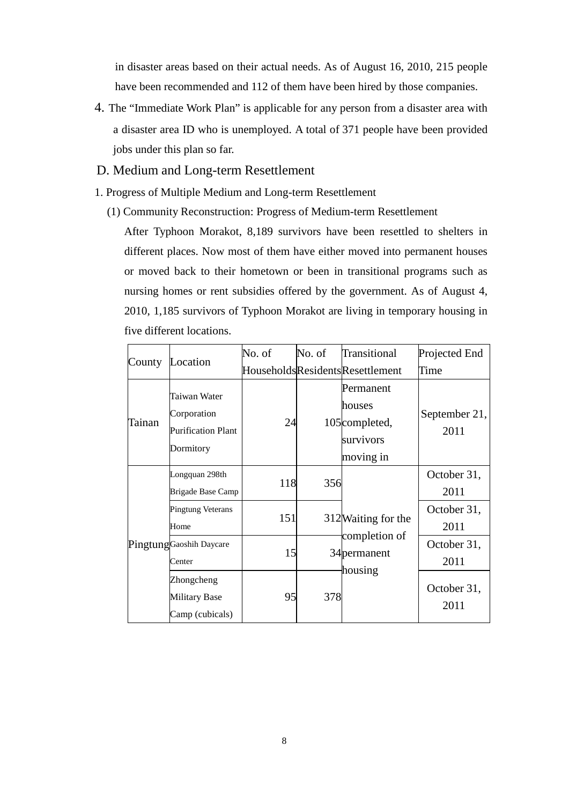in disaster areas based on their actual needs. As of August 16, 2010, 215 people have been recommended and 112 of them have been hired by those companies.

- 4. The "Immediate Work Plan" is applicable for any person from a disaster area with a disaster area ID who is unemployed. A total of 371 people have been provided jobs under this plan so far.
- D. Medium and Long-term Resettlement
- 1. Progress of Multiple Medium and Long-term Resettlement
	- (1) Community Reconstruction: Progress of Medium-term Resettlement

After Typhoon Morakot, 8,189 survivors have been resettled to shelters in different places. Now most of them have either moved into permanent houses or moved back to their hometown or been in transitional programs such as nursing homes or rent subsidies offered by the government. As of August 4, 2010, 1,185 survivors of Typhoon Morakot are living in temporary housing in five different locations.

| County | Location                                                              | No. of     | No. of | Transitional                                                                | Projected End         |
|--------|-----------------------------------------------------------------------|------------|--------|-----------------------------------------------------------------------------|-----------------------|
|        |                                                                       |            |        | HouseholdsResidentsResettlement                                             | Time                  |
| Tainan | Taiwan Water<br>Corporation<br><b>Purification Plant</b><br>Dormitory | 24         |        | Permanent<br>houses<br>105 <sub>completed</sub> ,<br>survivors<br>moving in | September 21,<br>2011 |
|        | Longquan 298th<br>Brigade Base Camp                                   | 118        | 356    |                                                                             | October 31,<br>2011   |
|        | <b>Pingtung Veterans</b><br>Home                                      | <b>151</b> |        | 312 Waiting for the                                                         | October 31,<br>2011   |
|        | PingtungGaoshih Daycare<br>Center                                     | 15         |        | completion of<br>34 permanent                                               | October 31,<br>2011   |
|        | Zhongcheng<br><b>Military Base</b><br>Camp (cubicals)                 | 95         | 378    | housing                                                                     | October 31,<br>2011   |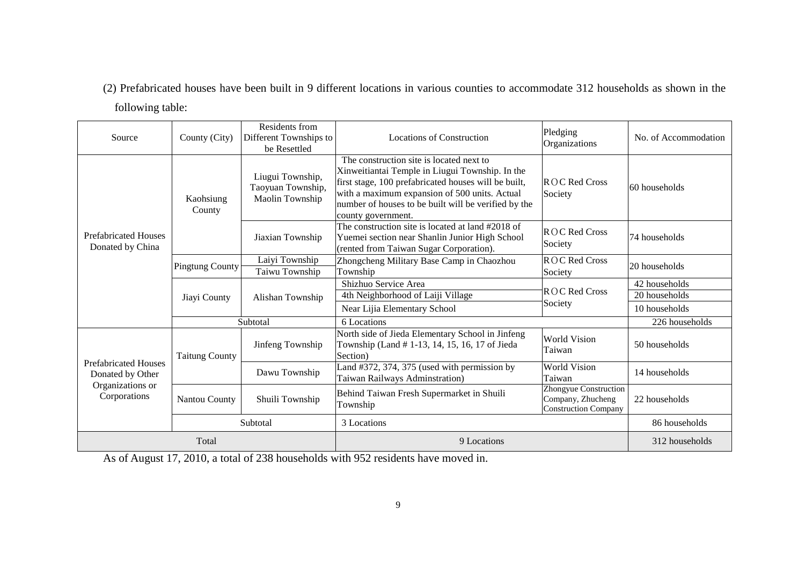(2) Prefabricated houses have been built in 9 different locations in various counties to accommodate 312 households as shown in the

following table:

| Source                                                                              | County (City)          | Residents from<br>Different Townships to<br>be Resettled | Locations of Construction                                                                                                                                                                                                                                                          | Pledging<br>Organizations                                                 | No. of Accommodation                            |
|-------------------------------------------------------------------------------------|------------------------|----------------------------------------------------------|------------------------------------------------------------------------------------------------------------------------------------------------------------------------------------------------------------------------------------------------------------------------------------|---------------------------------------------------------------------------|-------------------------------------------------|
|                                                                                     | Kaohsiung<br>County    | Liugui Township,<br>Taoyuan Township,<br>Maolin Township | The construction site is located next to<br>Xinweitiantai Temple in Liugui Township. In the<br>first stage, 100 prefabricated houses will be built,<br>with a maximum expansion of 500 units. Actual<br>number of houses to be built will be verified by the<br>county government. | $ROC$ Red Cross<br>Society                                                | 60 households                                   |
| <b>Prefabricated Houses</b><br>Donated by China                                     |                        | Jiaxian Township                                         | The construction site is located at land #2018 of<br>Yuemei section near Shanlin Junior High School<br>(rented from Taiwan Sugar Corporation).                                                                                                                                     | ROC Red Cross<br>Society                                                  | 74 households                                   |
|                                                                                     | <b>Pingtung County</b> | Laiyi Township<br>Taiwu Township                         | Zhongcheng Military Base Camp in Chaozhou<br>Township                                                                                                                                                                                                                              | ROC Red Cross<br>Society                                                  | 20 households                                   |
|                                                                                     | Jiayi County           | Alishan Township                                         | Shizhuo Service Area<br>4th Neighborhood of Laiji Village<br>Near Lijia Elementary School                                                                                                                                                                                          | ROC Red Cross<br>Society                                                  | 42 households<br>20 households<br>10 households |
|                                                                                     | Subtotal               |                                                          | 6 Locations                                                                                                                                                                                                                                                                        |                                                                           | 226 households                                  |
|                                                                                     | <b>Taitung County</b>  | Jinfeng Township                                         | North side of Jieda Elementary School in Jinfeng<br>Township (Land #1-13, 14, 15, 16, 17 of Jieda<br>Section)                                                                                                                                                                      | <b>World Vision</b><br>Taiwan                                             | 50 households                                   |
| <b>Prefabricated Houses</b><br>Donated by Other<br>Organizations or<br>Corporations |                        | Dawu Township                                            | Land #372, 374, 375 (used with permission by<br>Taiwan Railways Adminstration)                                                                                                                                                                                                     | World Vision<br>Taiwan                                                    | 14 households                                   |
|                                                                                     | Nantou County          | Shuili Township                                          | Behind Taiwan Fresh Supermarket in Shuili<br>Township                                                                                                                                                                                                                              | Zhongyue Construction<br>Company, Zhucheng<br><b>Construction Company</b> | 22 households                                   |
|                                                                                     | Subtotal               |                                                          | 3 Locations                                                                                                                                                                                                                                                                        |                                                                           | 86 households                                   |
| Total                                                                               |                        |                                                          | 9 Locations                                                                                                                                                                                                                                                                        |                                                                           | 312 households                                  |

As of August 17, 2010, a total of 238 households with 952 residents have moved in.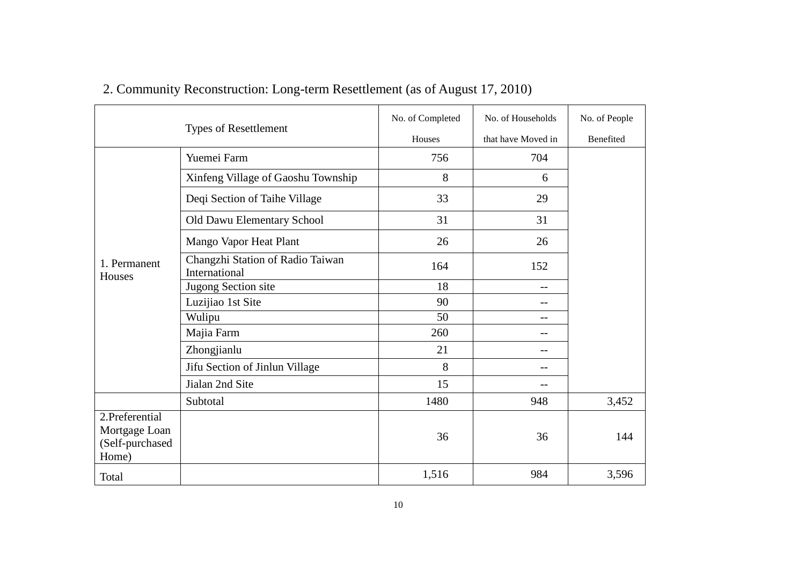|                                                             | <b>Types of Resettlement</b>                      | No. of Completed<br>Houses | No. of Households<br>that have Moved in | No. of People<br>Benefited |
|-------------------------------------------------------------|---------------------------------------------------|----------------------------|-----------------------------------------|----------------------------|
|                                                             | Yuemei Farm                                       | 756                        | 704                                     |                            |
|                                                             | Xinfeng Village of Gaoshu Township                | 8                          | 6                                       |                            |
|                                                             | Deqi Section of Taihe Village                     | 33                         | 29                                      |                            |
|                                                             | Old Dawu Elementary School                        | 31                         | 31                                      |                            |
|                                                             | Mango Vapor Heat Plant                            | 26                         | 26                                      |                            |
| 1. Permanent<br>Houses                                      | Changzhi Station of Radio Taiwan<br>International | 164                        | 152                                     |                            |
|                                                             | Jugong Section site                               | 18                         | $-$                                     |                            |
|                                                             | Luzijiao 1st Site                                 | 90                         | $- -$                                   |                            |
|                                                             | Wulipu                                            | 50                         | $-$                                     |                            |
|                                                             | Majia Farm                                        | 260                        |                                         |                            |
|                                                             | Zhongjianlu                                       | 21                         | $-$                                     |                            |
|                                                             | Jifu Section of Jinlun Village                    | 8                          |                                         |                            |
|                                                             | Jialan 2nd Site                                   | 15                         |                                         |                            |
|                                                             | Subtotal                                          | 1480                       | 948                                     | 3,452                      |
| 2.Preferential<br>Mortgage Loan<br>(Self-purchased<br>Home) |                                                   | 36                         | 36                                      | 144                        |
| Total                                                       |                                                   | 1,516                      | 984                                     | 3,596                      |

2. Community Reconstruction: Long-term Resettlement (as of August 17, 2010)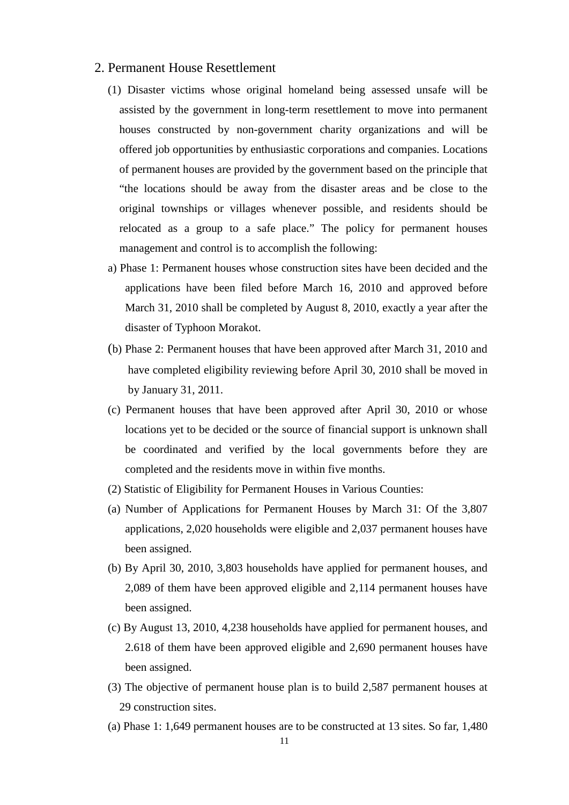#### 2. Permanent House Resettlement

- (1) Disaster victims whose original homeland being assessed unsafe will be assisted by the government in long-term resettlement to move into permanent houses constructed by non-government charity organizations and will be offered job opportunities by enthusiastic corporations and companies. Locations of permanent houses are provided by the government based on the principle that "the locations should be away from the disaster areas and be close to the original townships or villages whenever possible, and residents should be relocated as a group to a safe place." The policy for permanent houses management and control is to accomplish the following:
- a) Phase 1: Permanent houses whose construction sites have been decided and the applications have been filed before March 16, 2010 and approved before March 31, 2010 shall be completed by August 8, 2010, exactly a year after the disaster of Typhoon Morakot.
- (b) Phase 2: Permanent houses that have been approved after March 31, 2010 and have completed eligibility reviewing before April 30, 2010 shall be moved in by January 31, 2011.
- (c) Permanent houses that have been approved after April 30, 2010 or whose locations yet to be decided or the source of financial support is unknown shall be coordinated and verified by the local governments before they are completed and the residents move in within five months.
- (2) Statistic of Eligibility for Permanent Houses in Various Counties:
- (a) Number of Applications for Permanent Houses by March 31: Of the 3,807 applications, 2,020 households were eligible and 2,037 permanent houses have been assigned.
- (b) By April 30, 2010, 3,803 households have applied for permanent houses, and 2,089 of them have been approved eligible and 2,114 permanent houses have been assigned.
- (c) By August 13, 2010, 4,238 households have applied for permanent houses, and 2.618 of them have been approved eligible and 2,690 permanent houses have been assigned.
- (3) The objective of permanent house plan is to build 2,587 permanent houses at 29 construction sites.
- (a) Phase 1: 1,649 permanent houses are to be constructed at 13 sites. So far, 1,480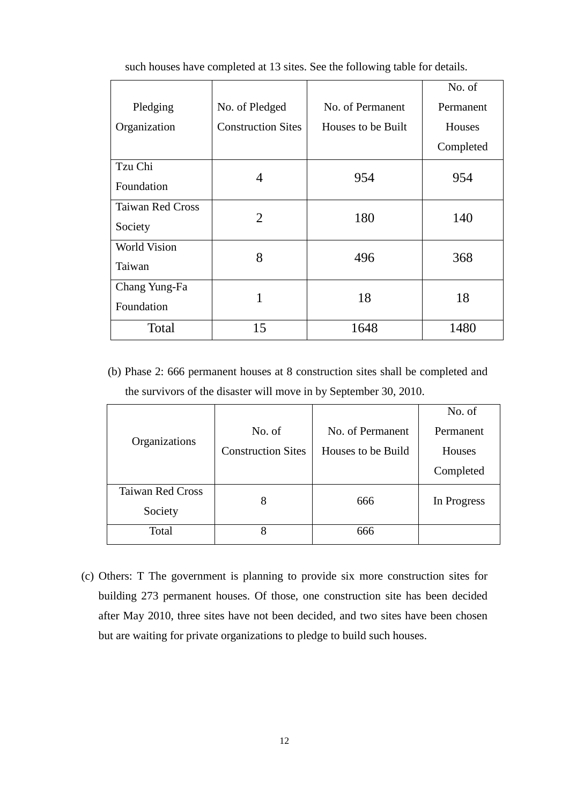|                         |                           |                    | No. of    |
|-------------------------|---------------------------|--------------------|-----------|
| Pledging                | No. of Pledged            | No. of Permanent   | Permanent |
| Organization            | <b>Construction Sites</b> | Houses to be Built | Houses    |
|                         |                           |                    | Completed |
| Tzu Chi                 |                           | 954                | 954       |
| Foundation              | 4                         |                    |           |
| <b>Taiwan Red Cross</b> | $\overline{2}$            | 180                | 140       |
| Society                 |                           |                    |           |
| <b>World Vision</b>     |                           |                    |           |
| Taiwan                  | 8                         | 496                | 368       |
| Chang Yung-Fa           | 1                         | 18                 | 18        |
| Foundation              |                           |                    |           |
| Total                   | 15                        | 1648               | 1480      |

such houses have completed at 13 sites. See the following table for details.

(b) Phase 2: 666 permanent houses at 8 construction sites shall be completed and the survivors of the disaster will move in by September 30, 2010.

|                         |                           |                    | No. of      |
|-------------------------|---------------------------|--------------------|-------------|
|                         | No. of                    | No. of Permanent   | Permanent   |
| Organizations           | <b>Construction Sites</b> | Houses to be Build | Houses      |
|                         |                           |                    | Completed   |
| <b>Taiwan Red Cross</b> | 8                         | 666                | In Progress |
| Society                 |                           |                    |             |
| Total                   | 8                         | 666                |             |

(c) Others: T The government is planning to provide six more construction sites for building 273 permanent houses. Of those, one construction site has been decided after May 2010, three sites have not been decided, and two sites have been chosen but are waiting for private organizations to pledge to build such houses.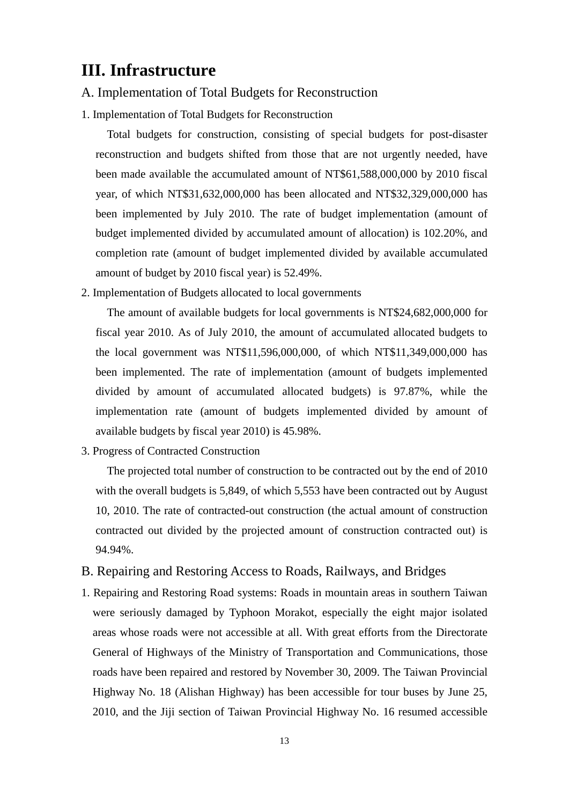# **III. Infrastructure**

#### A. Implementation of Total Budgets for Reconstruction

1. Implementation of Total Budgets for Reconstruction

Total budgets for construction, consisting of special budgets for post-disaster reconstruction and budgets shifted from those that are not urgently needed, have been made available the accumulated amount of NT\$61,588,000,000 by 2010 fiscal year, of which NT\$31,632,000,000 has been allocated and NT\$32,329,000,000 has been implemented by July 2010. The rate of budget implementation (amount of budget implemented divided by accumulated amount of allocation) is 102.20%, and completion rate (amount of budget implemented divided by available accumulated amount of budget by 2010 fiscal year) is 52.49%.

2. Implementation of Budgets allocated to local governments

The amount of available budgets for local governments is NT\$24,682,000,000 for fiscal year 2010. As of July 2010, the amount of accumulated allocated budgets to the local government was NT\$11,596,000,000, of which NT\$11,349,000,000 has been implemented. The rate of implementation (amount of budgets implemented divided by amount of accumulated allocated budgets) is 97.87%, while the implementation rate (amount of budgets implemented divided by amount of available budgets by fiscal year 2010) is 45.98%.

3. Progress of Contracted Construction

The projected total number of construction to be contracted out by the end of 2010 with the overall budgets is 5,849, of which 5,553 have been contracted out by August 10, 2010. The rate of contracted-out construction (the actual amount of construction contracted out divided by the projected amount of construction contracted out) is 94.94%.

#### B. Repairing and Restoring Access to Roads, Railways, and Bridges

1. Repairing and Restoring Road systems: Roads in mountain areas in southern Taiwan were seriously damaged by Typhoon Morakot, especially the eight major isolated areas whose roads were not accessible at all. With great efforts from the Directorate General of Highways of the Ministry of Transportation and Communications, those roads have been repaired and restored by November 30, 2009. The Taiwan Provincial Highway No. 18 (Alishan Highway) has been accessible for tour buses by June 25, 2010, and the Jiji section of Taiwan Provincial Highway No. 16 resumed accessible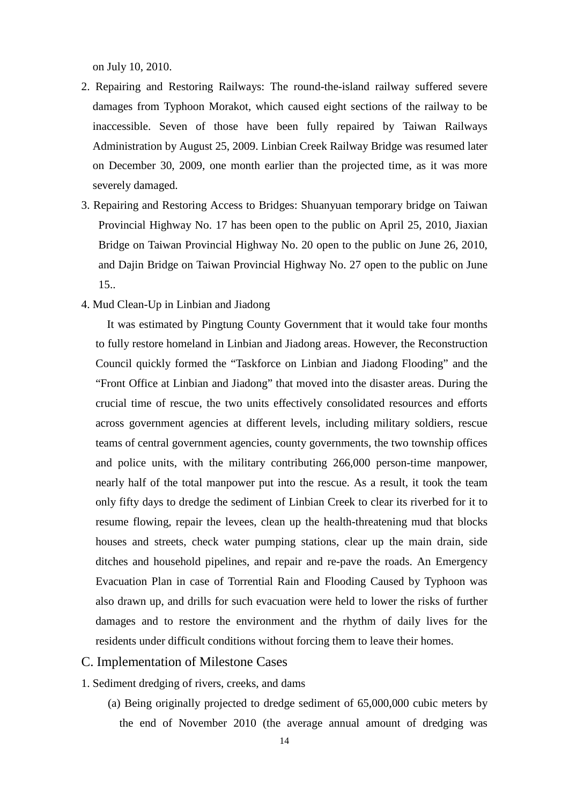on July 10, 2010.

- 2. Repairing and Restoring Railways: The round-the-island railway suffered severe damages from Typhoon Morakot, which caused eight sections of the railway to be inaccessible. Seven of those have been fully repaired by Taiwan Railways Administration by August 25, 2009. Linbian Creek Railway Bridge was resumed later on December 30, 2009, one month earlier than the projected time, as it was more severely damaged.
- 3. Repairing and Restoring Access to Bridges: Shuanyuan temporary bridge on Taiwan Provincial Highway No. 17 has been open to the public on April 25, 2010, Jiaxian Bridge on Taiwan Provincial Highway No. 20 open to the public on June 26, 2010, and Dajin Bridge on Taiwan Provincial Highway No. 27 open to the public on June 15..
- 4. Mud Clean-Up in Linbian and Jiadong

It was estimated by Pingtung County Government that it would take four months to fully restore homeland in Linbian and Jiadong areas. However, the Reconstruction Council quickly formed the "Taskforce on Linbian and Jiadong Flooding" and the "Front Office at Linbian and Jiadong" that moved into the disaster areas. During the crucial time of rescue, the two units effectively consolidated resources and efforts across government agencies at different levels, including military soldiers, rescue teams of central government agencies, county governments, the two township offices and police units, with the military contributing 266,000 person-time manpower, nearly half of the total manpower put into the rescue. As a result, it took the team only fifty days to dredge the sediment of Linbian Creek to clear its riverbed for it to resume flowing, repair the levees, clean up the health-threatening mud that blocks houses and streets, check water pumping stations, clear up the main drain, side ditches and household pipelines, and repair and re-pave the roads. An Emergency Evacuation Plan in case of Torrential Rain and Flooding Caused by Typhoon was also drawn up, and drills for such evacuation were held to lower the risks of further damages and to restore the environment and the rhythm of daily lives for the residents under difficult conditions without forcing them to leave their homes.

#### C. Implementation of Milestone Cases

1. Sediment dredging of rivers, creeks, and dams

(a) Being originally projected to dredge sediment of 65,000,000 cubic meters by the end of November 2010 (the average annual amount of dredging was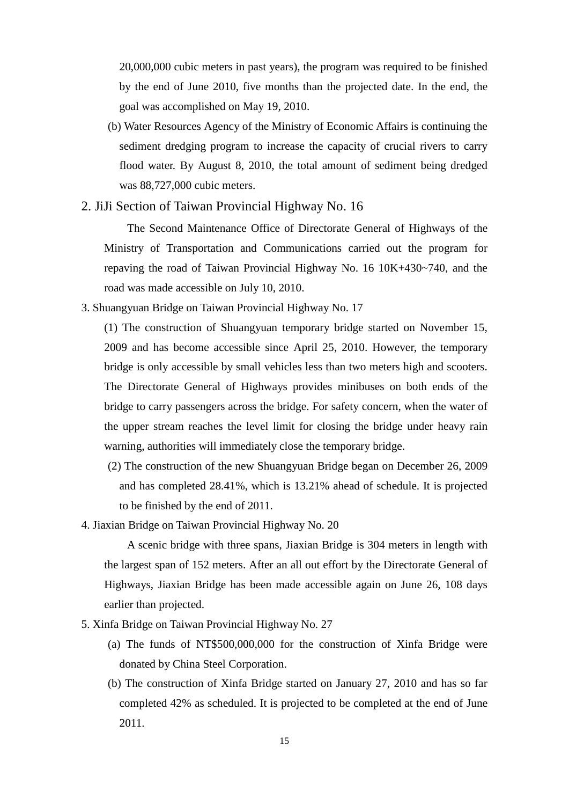20,000,000 cubic meters in past years), the program was required to be finished by the end of June 2010, five months than the projected date. In the end, the goal was accomplished on May 19, 2010.

(b) Water Resources Agency of the Ministry of Economic Affairs is continuing the sediment dredging program to increase the capacity of crucial rivers to carry flood water. By August 8, 2010, the total amount of sediment being dredged was 88,727,000 cubic meters.

2. JiJi Section of Taiwan Provincial Highway No. 16

The Second Maintenance Office of Directorate General of Highways of the Ministry of Transportation and Communications carried out the program for repaving the road of Taiwan Provincial Highway No. 16 10K+430~740, and the road was made accessible on July 10, 2010.

3. Shuangyuan Bridge on Taiwan Provincial Highway No. 17

(1) The construction of Shuangyuan temporary bridge started on November 15, 2009 and has become accessible since April 25, 2010. However, the temporary bridge is only accessible by small vehicles less than two meters high and scooters. The Directorate General of Highways provides minibuses on both ends of the bridge to carry passengers across the bridge. For safety concern, when the water of the upper stream reaches the level limit for closing the bridge under heavy rain warning, authorities will immediately close the temporary bridge.

- (2) The construction of the new Shuangyuan Bridge began on December 26, 2009 and has completed 28.41%, which is 13.21% ahead of schedule. It is projected to be finished by the end of 2011.
- 4. Jiaxian Bridge on Taiwan Provincial Highway No. 20

A scenic bridge with three spans, Jiaxian Bridge is 304 meters in length with the largest span of 152 meters. After an all out effort by the Directorate General of Highways, Jiaxian Bridge has been made accessible again on June 26, 108 days earlier than projected.

- 5. Xinfa Bridge on Taiwan Provincial Highway No. 27
	- (a) The funds of NT\$500,000,000 for the construction of Xinfa Bridge were donated by China Steel Corporation.
	- (b) The construction of Xinfa Bridge started on January 27, 2010 and has so far completed 42% as scheduled. It is projected to be completed at the end of June 2011.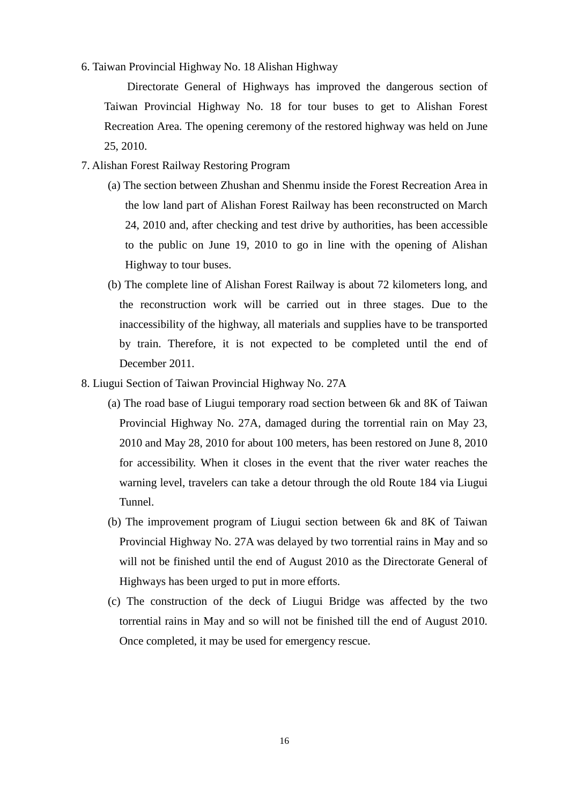6. Taiwan Provincial Highway No. 18 Alishan Highway

Directorate General of Highways has improved the dangerous section of Taiwan Provincial Highway No. 18 for tour buses to get to Alishan Forest Recreation Area. The opening ceremony of the restored highway was held on June 25, 2010.

- 7. Alishan Forest Railway Restoring Program
	- (a) The section between Zhushan and Shenmu inside the Forest Recreation Area in the low land part of Alishan Forest Railway has been reconstructed on March 24, 2010 and, after checking and test drive by authorities, has been accessible to the public on June 19, 2010 to go in line with the opening of Alishan Highway to tour buses.
	- (b) The complete line of Alishan Forest Railway is about 72 kilometers long, and the reconstruction work will be carried out in three stages. Due to the inaccessibility of the highway, all materials and supplies have to be transported by train. Therefore, it is not expected to be completed until the end of December 2011.
- 8. Liugui Section of Taiwan Provincial Highway No. 27A
	- (a) The road base of Liugui temporary road section between 6k and 8K of Taiwan Provincial Highway No. 27A, damaged during the torrential rain on May 23, 2010 and May 28, 2010 for about 100 meters, has been restored on June 8, 2010 for accessibility. When it closes in the event that the river water reaches the warning level, travelers can take a detour through the old Route 184 via Liugui Tunnel.
	- (b) The improvement program of Liugui section between 6k and 8K of Taiwan Provincial Highway No. 27A was delayed by two torrential rains in May and so will not be finished until the end of August 2010 as the Directorate General of Highways has been urged to put in more efforts.
	- (c) The construction of the deck of Liugui Bridge was affected by the two torrential rains in May and so will not be finished till the end of August 2010. Once completed, it may be used for emergency rescue.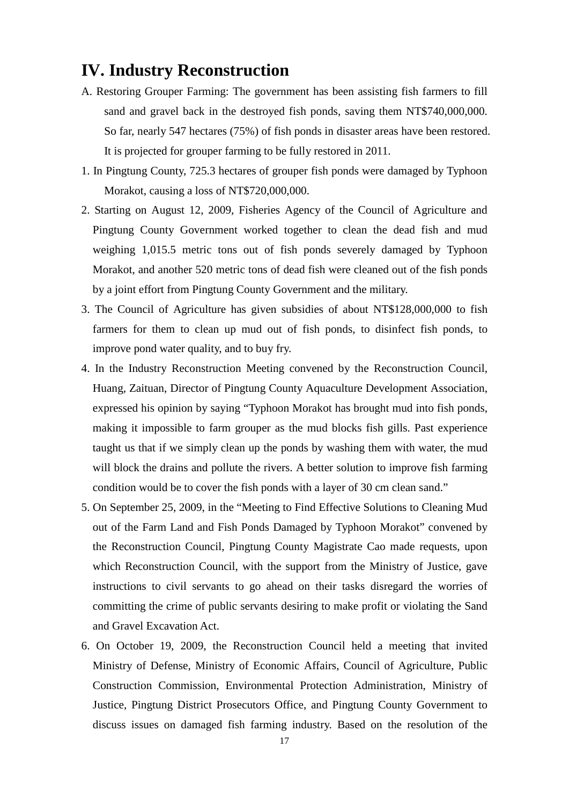# **IV. Industry Reconstruction**

- A. Restoring Grouper Farming: The government has been assisting fish farmers to fill sand and gravel back in the destroyed fish ponds, saving them NT\$740,000,000. So far, nearly 547 hectares (75%) of fish ponds in disaster areas have been restored. It is projected for grouper farming to be fully restored in 2011.
- 1. In Pingtung County, 725.3 hectares of grouper fish ponds were damaged by Typhoon Morakot, causing a loss of NT\$720,000,000.
- 2. Starting on August 12, 2009, Fisheries Agency of the Council of Agriculture and Pingtung County Government worked together to clean the dead fish and mud weighing 1,015.5 metric tons out of fish ponds severely damaged by Typhoon Morakot, and another 520 metric tons of dead fish were cleaned out of the fish ponds by a joint effort from Pingtung County Government and the military.
- 3. The Council of Agriculture has given subsidies of about NT\$128,000,000 to fish farmers for them to clean up mud out of fish ponds, to disinfect fish ponds, to improve pond water quality, and to buy fry.
- 4. In the Industry Reconstruction Meeting convened by the Reconstruction Council, Huang, Zaituan, Director of Pingtung County Aquaculture Development Association, expressed his opinion by saying "Typhoon Morakot has brought mud into fish ponds, making it impossible to farm grouper as the mud blocks fish gills. Past experience taught us that if we simply clean up the ponds by washing them with water, the mud will block the drains and pollute the rivers. A better solution to improve fish farming condition would be to cover the fish ponds with a layer of 30 cm clean sand."
- 5. On September 25, 2009, in the "Meeting to Find Effective Solutions to Cleaning Mud out of the Farm Land and Fish Ponds Damaged by Typhoon Morakot" convened by the Reconstruction Council, Pingtung County Magistrate Cao made requests, upon which Reconstruction Council, with the support from the Ministry of Justice, gave instructions to civil servants to go ahead on their tasks disregard the worries of committing the crime of public servants desiring to make profit or violating the Sand and Gravel Excavation Act.
- 6. On October 19, 2009, the Reconstruction Council held a meeting that invited Ministry of Defense, Ministry of Economic Affairs, Council of Agriculture, Public Construction Commission, Environmental Protection Administration, Ministry of Justice, Pingtung District Prosecutors Office, and Pingtung County Government to discuss issues on damaged fish farming industry. Based on the resolution of the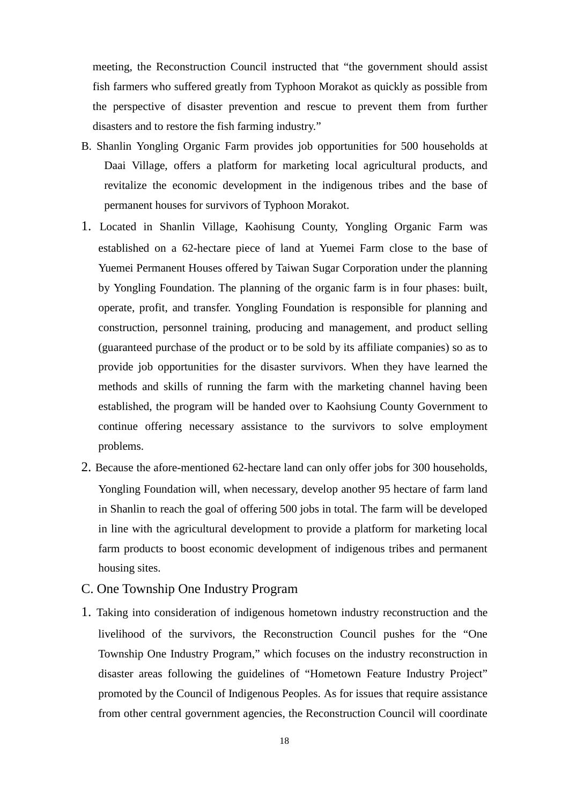meeting, the Reconstruction Council instructed that "the government should assist fish farmers who suffered greatly from Typhoon Morakot as quickly as possible from the perspective of disaster prevention and rescue to prevent them from further disasters and to restore the fish farming industry."

- B. Shanlin Yongling Organic Farm provides job opportunities for 500 households at Daai Village, offers a platform for marketing local agricultural products, and revitalize the economic development in the indigenous tribes and the base of permanent houses for survivors of Typhoon Morakot.
- 1. Located in Shanlin Village, Kaohisung County, Yongling Organic Farm was established on a 62-hectare piece of land at Yuemei Farm close to the base of Yuemei Permanent Houses offered by Taiwan Sugar Corporation under the planning by Yongling Foundation. The planning of the organic farm is in four phases: built, operate, profit, and transfer. Yongling Foundation is responsible for planning and construction, personnel training, producing and management, and product selling (guaranteed purchase of the product or to be sold by its affiliate companies) so as to provide job opportunities for the disaster survivors. When they have learned the methods and skills of running the farm with the marketing channel having been established, the program will be handed over to Kaohsiung County Government to continue offering necessary assistance to the survivors to solve employment problems.
- 2. Because the afore-mentioned 62-hectare land can only offer jobs for 300 households, Yongling Foundation will, when necessary, develop another 95 hectare of farm land in Shanlin to reach the goal of offering 500 jobs in total. The farm will be developed in line with the agricultural development to provide a platform for marketing local farm products to boost economic development of indigenous tribes and permanent housing sites.
- C. One Township One Industry Program
- 1. Taking into consideration of indigenous hometown industry reconstruction and the livelihood of the survivors, the Reconstruction Council pushes for the "One Township One Industry Program," which focuses on the industry reconstruction in disaster areas following the guidelines of "Hometown Feature Industry Project" promoted by the Council of Indigenous Peoples. As for issues that require assistance from other central government agencies, the Reconstruction Council will coordinate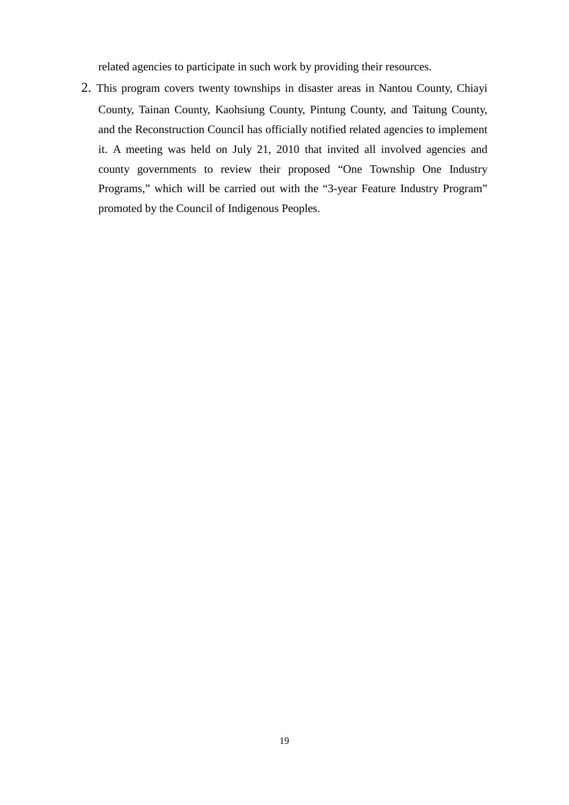related agencies to participate in such work by providing their resources.

2. This program covers twenty townships in disaster areas in Nantou County, Chiayi County, Tainan County, Kaohsiung County, Pintung County, and Taitung County, and the Reconstruction Council has officially notified related agencies to implement it. A meeting was held on July 21, 2010 that invited all involved agencies and county governments to review their proposed "One Township One Industry Programs," which will be carried out with the "3-year Feature Industry Program" promoted by the Council of Indigenous Peoples.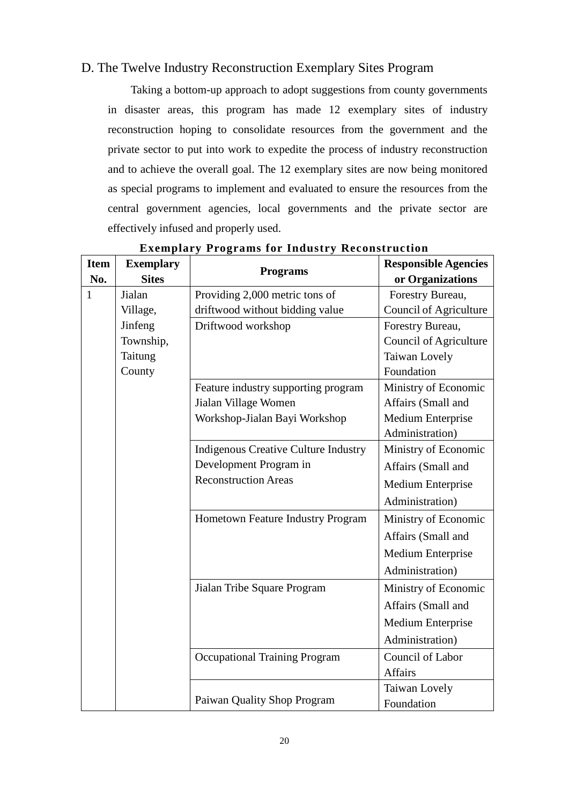#### D. The Twelve Industry Reconstruction Exemplary Sites Program

Taking a bottom-up approach to adopt suggestions from county governments in disaster areas, this program has made 12 exemplary sites of industry reconstruction hoping to consolidate resources from the government and the private sector to put into work to expedite the process of industry reconstruction and to achieve the overall goal. The 12 exemplary sites are now being monitored as special programs to implement and evaluated to ensure the resources from the central government agencies, local governments and the private sector are effectively infused and properly used.

| <b>Item</b><br>No. | <b>Exemplary</b><br><b>Sites</b> | <b>Programs</b>                             | <b>Responsible Agencies</b><br>or Organizations |
|--------------------|----------------------------------|---------------------------------------------|-------------------------------------------------|
| $\mathbf{1}$       | Jialan                           | Providing 2,000 metric tons of              | Forestry Bureau,                                |
|                    | Village,                         | driftwood without bidding value             | <b>Council of Agriculture</b>                   |
|                    | Jinfeng                          | Driftwood workshop                          | Forestry Bureau,                                |
|                    | Township,                        |                                             | Council of Agriculture                          |
|                    | Taitung                          |                                             | Taiwan Lovely                                   |
|                    | County                           |                                             | Foundation                                      |
|                    |                                  | Feature industry supporting program         | Ministry of Economic                            |
|                    |                                  | Jialan Village Women                        | Affairs (Small and                              |
|                    |                                  | Workshop-Jialan Bayi Workshop               | Medium Enterprise                               |
|                    |                                  |                                             | Administration)                                 |
|                    |                                  | <b>Indigenous Creative Culture Industry</b> | Ministry of Economic                            |
|                    |                                  | Development Program in                      | Affairs (Small and                              |
|                    |                                  | <b>Reconstruction Areas</b>                 | Medium Enterprise                               |
|                    |                                  |                                             | Administration)                                 |
|                    |                                  | Hometown Feature Industry Program           | Ministry of Economic                            |
|                    |                                  |                                             | Affairs (Small and                              |
|                    |                                  |                                             | <b>Medium Enterprise</b>                        |
|                    |                                  |                                             | Administration)                                 |
|                    |                                  | Jialan Tribe Square Program                 | Ministry of Economic                            |
|                    |                                  |                                             | Affairs (Small and                              |
|                    |                                  |                                             | Medium Enterprise                               |
|                    |                                  |                                             | Administration)                                 |
|                    |                                  | <b>Occupational Training Program</b>        | Council of Labor                                |
|                    |                                  |                                             | <b>Affairs</b>                                  |
|                    |                                  |                                             | Taiwan Lovely                                   |
|                    |                                  | Paiwan Quality Shop Program                 | Foundation                                      |

### **Exemplary Programs for Industry Reconstruction**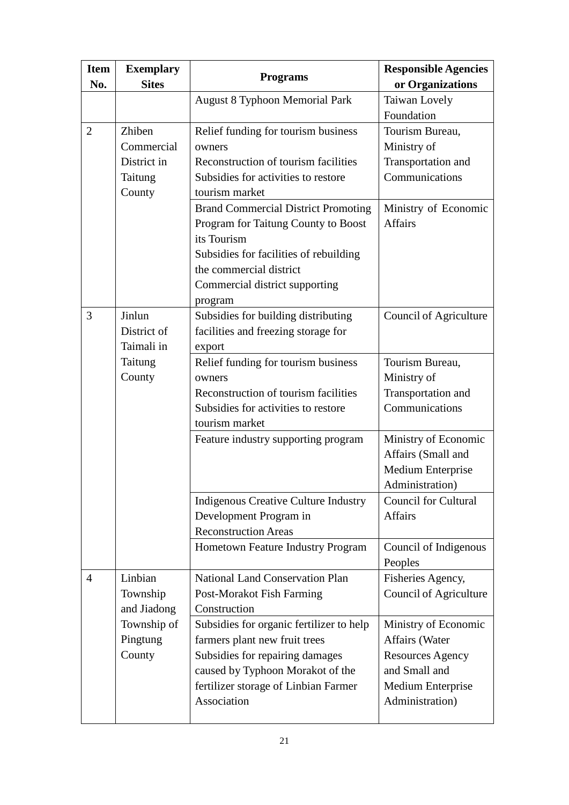| <b>Item</b><br>No. | <b>Exemplary</b><br><b>Sites</b>                         | <b>Programs</b>                                                                                                                                                                                                    | <b>Responsible Agencies</b><br>or Organizations                                                                            |
|--------------------|----------------------------------------------------------|--------------------------------------------------------------------------------------------------------------------------------------------------------------------------------------------------------------------|----------------------------------------------------------------------------------------------------------------------------|
|                    |                                                          | <b>August 8 Typhoon Memorial Park</b>                                                                                                                                                                              | Taiwan Lovely<br>Foundation                                                                                                |
| $\overline{2}$     | Zhiben<br>Commercial<br>District in<br>Taitung<br>County | Relief funding for tourism business<br>owners<br>Reconstruction of tourism facilities<br>Subsidies for activities to restore<br>tourism market                                                                     | Tourism Bureau,<br>Ministry of<br>Transportation and<br>Communications                                                     |
|                    |                                                          | <b>Brand Commercial District Promoting</b><br>Program for Taitung County to Boost<br>its Tourism<br>Subsidies for facilities of rebuilding<br>the commercial district<br>Commercial district supporting<br>program | Ministry of Economic<br><b>Affairs</b>                                                                                     |
| 3                  | Jinlun<br>District of<br>Taimali in                      | Subsidies for building distributing<br>facilities and freezing storage for<br>export                                                                                                                               | Council of Agriculture                                                                                                     |
|                    | Taitung<br>County                                        | Relief funding for tourism business<br>owners<br>Reconstruction of tourism facilities<br>Subsidies for activities to restore<br>tourism market                                                                     | Tourism Bureau,<br>Ministry of<br>Transportation and<br>Communications                                                     |
|                    |                                                          | Feature industry supporting program                                                                                                                                                                                | Ministry of Economic<br>Affairs (Small and<br>Medium Enterprise<br>Administration)                                         |
|                    |                                                          | <b>Indigenous Creative Culture Industry</b><br>Development Program in<br><b>Reconstruction Areas</b>                                                                                                               | <b>Council for Cultural</b><br><b>Affairs</b>                                                                              |
|                    |                                                          | Hometown Feature Industry Program                                                                                                                                                                                  | Council of Indigenous<br>Peoples                                                                                           |
| $\overline{4}$     | Linbian<br>Township<br>and Jiadong                       | <b>National Land Conservation Plan</b><br>Post-Morakot Fish Farming<br>Construction                                                                                                                                | Fisheries Agency,<br>Council of Agriculture                                                                                |
|                    | Township of<br>Pingtung<br>County                        | Subsidies for organic fertilizer to help<br>farmers plant new fruit trees<br>Subsidies for repairing damages<br>caused by Typhoon Morakot of the<br>fertilizer storage of Linbian Farmer<br>Association            | Ministry of Economic<br>Affairs (Water<br><b>Resources Agency</b><br>and Small and<br>Medium Enterprise<br>Administration) |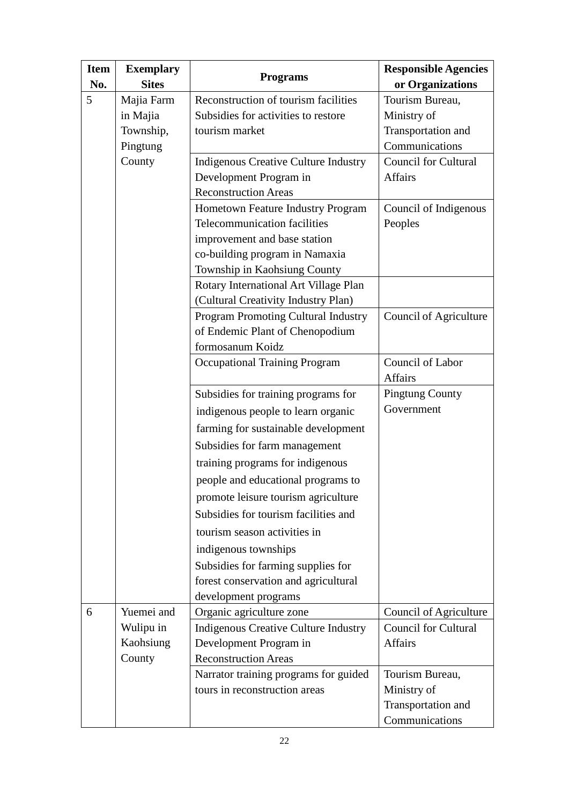| <b>Item</b> | <b>Exemplary</b><br><b>Sites</b> | <b>Programs</b>                             | <b>Responsible Agencies</b>         |
|-------------|----------------------------------|---------------------------------------------|-------------------------------------|
| No.<br>5    | Majia Farm                       | Reconstruction of tourism facilities        | or Organizations<br>Tourism Bureau, |
|             | in Majia                         | Subsidies for activities to restore         | Ministry of                         |
|             | Township,                        | tourism market                              | Transportation and                  |
|             | Pingtung                         |                                             | Communications                      |
|             | County                           | <b>Indigenous Creative Culture Industry</b> | <b>Council for Cultural</b>         |
|             |                                  | Development Program in                      | <b>Affairs</b>                      |
|             |                                  | <b>Reconstruction Areas</b>                 |                                     |
|             |                                  | Hometown Feature Industry Program           | Council of Indigenous               |
|             |                                  | <b>Telecommunication facilities</b>         | Peoples                             |
|             |                                  | improvement and base station                |                                     |
|             |                                  | co-building program in Namaxia              |                                     |
|             |                                  | Township in Kaohsiung County                |                                     |
|             |                                  | Rotary International Art Village Plan       |                                     |
|             |                                  | (Cultural Creativity Industry Plan)         |                                     |
|             |                                  | <b>Program Promoting Cultural Industry</b>  | Council of Agriculture              |
|             |                                  | of Endemic Plant of Chenopodium             |                                     |
|             |                                  | formosanum Koidz                            |                                     |
|             |                                  | <b>Occupational Training Program</b>        | Council of Labor                    |
|             |                                  |                                             | <b>Affairs</b>                      |
|             |                                  | Subsidies for training programs for         | <b>Pingtung County</b>              |
|             |                                  | indigenous people to learn organic          | Government                          |
|             |                                  | farming for sustainable development         |                                     |
|             |                                  | Subsidies for farm management               |                                     |
|             |                                  | training programs for indigenous            |                                     |
|             |                                  | people and educational programs to          |                                     |
|             |                                  | promote leisure tourism agriculture         |                                     |
|             |                                  | Subsidies for tourism facilities and        |                                     |
|             |                                  | tourism season activities in                |                                     |
|             |                                  | indigenous townships                        |                                     |
|             |                                  | Subsidies for farming supplies for          |                                     |
|             |                                  | forest conservation and agricultural        |                                     |
|             |                                  | development programs                        |                                     |
| 6           | Yuemei and                       | Organic agriculture zone                    | Council of Agriculture              |
|             | Wulipu in                        | <b>Indigenous Creative Culture Industry</b> | <b>Council for Cultural</b>         |
|             | Kaohsiung                        | Development Program in                      | <b>Affairs</b>                      |
|             | County                           | <b>Reconstruction Areas</b>                 |                                     |
|             |                                  | Narrator training programs for guided       | Tourism Bureau,                     |
|             |                                  | tours in reconstruction areas               | Ministry of                         |
|             |                                  |                                             | Transportation and                  |
|             |                                  |                                             | Communications                      |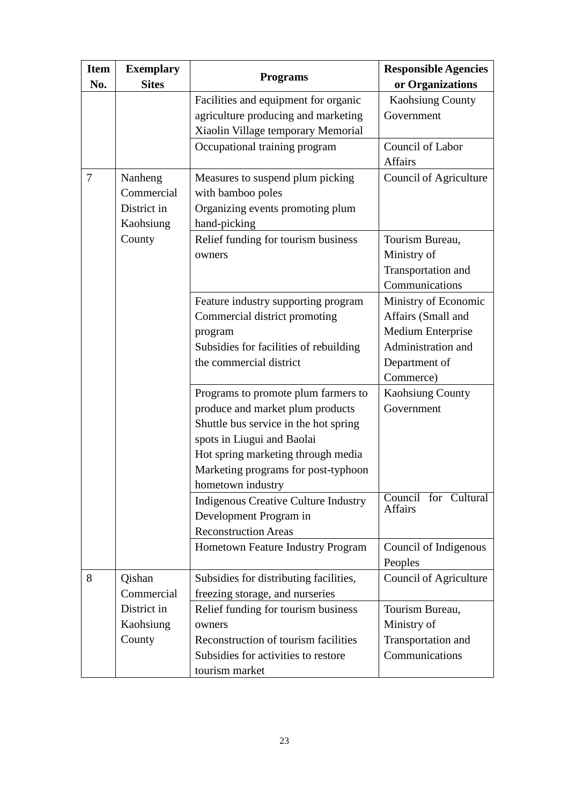| <b>Item</b><br>No. | <b>Exemplary</b><br><b>Sites</b>                  | <b>Programs</b>                                                                                                                                                                                                                                  | <b>Responsible Agencies</b><br>or Organizations                                                                     |
|--------------------|---------------------------------------------------|--------------------------------------------------------------------------------------------------------------------------------------------------------------------------------------------------------------------------------------------------|---------------------------------------------------------------------------------------------------------------------|
|                    |                                                   | Facilities and equipment for organic<br>agriculture producing and marketing<br>Xiaolin Village temporary Memorial                                                                                                                                | <b>Kaohsiung County</b><br>Government                                                                               |
|                    |                                                   | Occupational training program                                                                                                                                                                                                                    | Council of Labor<br><b>Affairs</b>                                                                                  |
| 7                  | Nanheng<br>Commercial<br>District in<br>Kaohsiung | Measures to suspend plum picking<br>with bamboo poles<br>Organizing events promoting plum<br>hand-picking                                                                                                                                        | Council of Agriculture                                                                                              |
|                    | County                                            | Relief funding for tourism business<br>owners                                                                                                                                                                                                    | Tourism Bureau,<br>Ministry of<br>Transportation and<br>Communications                                              |
|                    |                                                   | Feature industry supporting program<br>Commercial district promoting<br>program<br>Subsidies for facilities of rebuilding<br>the commercial district                                                                                             | Ministry of Economic<br>Affairs (Small and<br>Medium Enterprise<br>Administration and<br>Department of<br>Commerce) |
|                    |                                                   | Programs to promote plum farmers to<br>produce and market plum products<br>Shuttle bus service in the hot spring<br>spots in Liugui and Baolai<br>Hot spring marketing through media<br>Marketing programs for post-typhoon<br>hometown industry | <b>Kaohsiung County</b><br>Government                                                                               |
|                    |                                                   | <b>Indigenous Creative Culture Industry</b><br>Development Program in<br><b>Reconstruction Areas</b>                                                                                                                                             | Council for Cultural<br><b>Affairs</b>                                                                              |
|                    |                                                   | Hometown Feature Industry Program                                                                                                                                                                                                                | Council of Indigenous<br>Peoples                                                                                    |
| 8                  | Qishan<br>Commercial                              | Subsidies for distributing facilities,<br>freezing storage, and nurseries                                                                                                                                                                        | <b>Council of Agriculture</b>                                                                                       |
|                    | District in<br>Kaohsiung<br>County                | Relief funding for tourism business<br>owners<br>Reconstruction of tourism facilities<br>Subsidies for activities to restore<br>tourism market                                                                                                   | Tourism Bureau,<br>Ministry of<br>Transportation and<br>Communications                                              |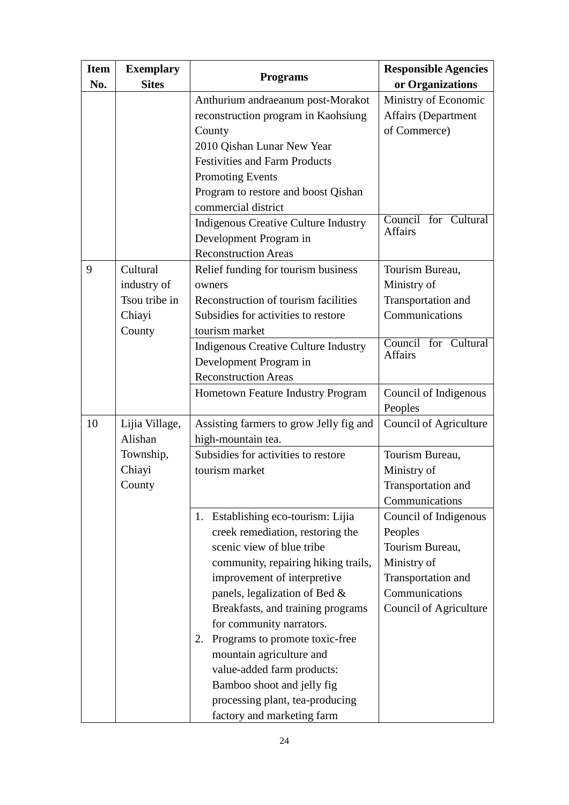| <b>Item</b><br>No. | <b>Exemplary</b><br><b>Sites</b>                             | <b>Programs</b>                                                                                                                                                                                                                                                                                                                                                                                                                                                              | <b>Responsible Agencies</b><br>or Organizations                                                                                      |
|--------------------|--------------------------------------------------------------|------------------------------------------------------------------------------------------------------------------------------------------------------------------------------------------------------------------------------------------------------------------------------------------------------------------------------------------------------------------------------------------------------------------------------------------------------------------------------|--------------------------------------------------------------------------------------------------------------------------------------|
|                    |                                                              | Anthurium andraeanum post-Morakot<br>reconstruction program in Kaohsiung<br>County<br>2010 Qishan Lunar New Year<br><b>Festivities and Farm Products</b><br><b>Promoting Events</b><br>Program to restore and boost Qishan<br>commercial district                                                                                                                                                                                                                            | Ministry of Economic<br>Affairs (Department<br>of Commerce)                                                                          |
|                    |                                                              | <b>Indigenous Creative Culture Industry</b><br>Development Program in<br><b>Reconstruction Areas</b>                                                                                                                                                                                                                                                                                                                                                                         | Council for Cultural<br><b>Affairs</b>                                                                                               |
| 9                  | Cultural<br>industry of<br>Tsou tribe in<br>Chiayi<br>County | Relief funding for tourism business<br>owners<br>Reconstruction of tourism facilities<br>Subsidies for activities to restore<br>tourism market<br><b>Indigenous Creative Culture Industry</b><br>Development Program in                                                                                                                                                                                                                                                      | Tourism Bureau,<br>Ministry of<br>Transportation and<br>Communications<br>Council for Cultural<br><b>Affairs</b>                     |
|                    |                                                              | <b>Reconstruction Areas</b><br>Hometown Feature Industry Program                                                                                                                                                                                                                                                                                                                                                                                                             | Council of Indigenous<br>Peoples                                                                                                     |
| 10                 | Lijia Village,<br>Alishan                                    | Assisting farmers to grow Jelly fig and<br>high-mountain tea.                                                                                                                                                                                                                                                                                                                                                                                                                | Council of Agriculture                                                                                                               |
|                    | Township,<br>Chiayi<br>County                                | Subsidies for activities to restore<br>tourism market                                                                                                                                                                                                                                                                                                                                                                                                                        | Tourism Bureau,<br>Ministry of<br>Transportation and<br>Communications                                                               |
|                    |                                                              | 1. Establishing eco-tourism: Lijia<br>creek remediation, restoring the<br>scenic view of blue tribe<br>community, repairing hiking trails,<br>improvement of interpretive<br>panels, legalization of Bed &<br>Breakfasts, and training programs<br>for community narrators.<br>Programs to promote toxic-free<br>2.<br>mountain agriculture and<br>value-added farm products:<br>Bamboo shoot and jelly fig<br>processing plant, tea-producing<br>factory and marketing farm | Council of Indigenous<br>Peoples<br>Tourism Bureau,<br>Ministry of<br>Transportation and<br>Communications<br>Council of Agriculture |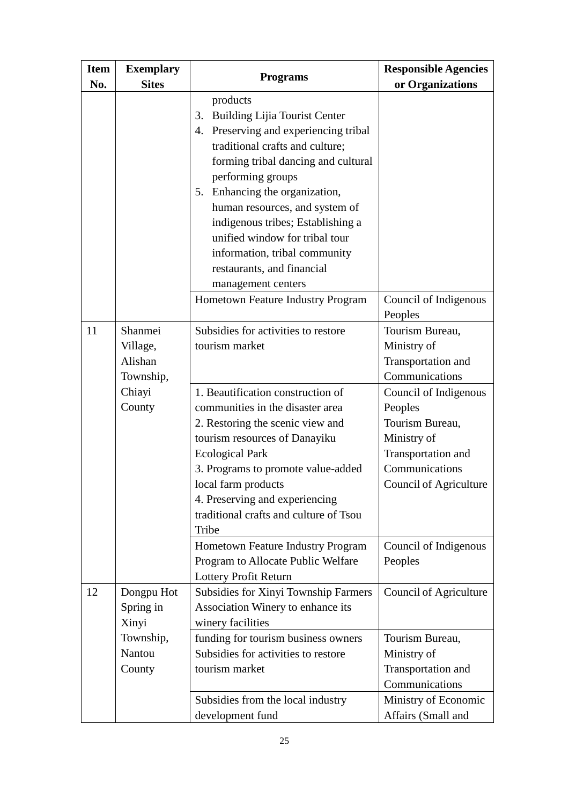| <b>Item</b><br>No. | <b>Exemplary</b><br><b>Sites</b>            | <b>Programs</b>                                                                                                                                                                                                                                                                                                                                                                                             | <b>Responsible Agencies</b><br>or Organizations                                                                                      |
|--------------------|---------------------------------------------|-------------------------------------------------------------------------------------------------------------------------------------------------------------------------------------------------------------------------------------------------------------------------------------------------------------------------------------------------------------------------------------------------------------|--------------------------------------------------------------------------------------------------------------------------------------|
|                    |                                             | products<br><b>Building Lijia Tourist Center</b><br>3.<br>Preserving and experiencing tribal<br>4.<br>traditional crafts and culture;<br>forming tribal dancing and cultural<br>performing groups<br>5. Enhancing the organization,<br>human resources, and system of<br>indigenous tribes; Establishing a<br>unified window for tribal tour<br>information, tribal community<br>restaurants, and financial |                                                                                                                                      |
|                    |                                             | management centers<br>Hometown Feature Industry Program                                                                                                                                                                                                                                                                                                                                                     | Council of Indigenous<br>Peoples                                                                                                     |
| 11                 | Shanmei<br>Village,<br>Alishan<br>Township, | Subsidies for activities to restore<br>tourism market                                                                                                                                                                                                                                                                                                                                                       | Tourism Bureau,<br>Ministry of<br>Transportation and<br>Communications                                                               |
|                    | Chiayi<br>County                            | 1. Beautification construction of<br>communities in the disaster area<br>2. Restoring the scenic view and<br>tourism resources of Danayiku<br><b>Ecological Park</b><br>3. Programs to promote value-added<br>local farm products<br>4. Preserving and experiencing<br>traditional crafts and culture of Tsou<br>Tribe                                                                                      | Council of Indigenous<br>Peoples<br>Tourism Bureau,<br>Ministry of<br>Transportation and<br>Communications<br>Council of Agriculture |
|                    |                                             | Hometown Feature Industry Program<br>Program to Allocate Public Welfare<br>Lottery Profit Return                                                                                                                                                                                                                                                                                                            | Council of Indigenous<br>Peoples                                                                                                     |
| 12                 | Dongpu Hot<br>Spring in<br>Xinyi            | <b>Subsidies for Xinyi Township Farmers</b><br>Association Winery to enhance its<br>winery facilities                                                                                                                                                                                                                                                                                                       | Council of Agriculture                                                                                                               |
|                    | Township,<br>Nantou<br>County               | funding for tourism business owners<br>Subsidies for activities to restore<br>tourism market                                                                                                                                                                                                                                                                                                                | Tourism Bureau,<br>Ministry of<br>Transportation and<br>Communications                                                               |
|                    |                                             | Subsidies from the local industry<br>development fund                                                                                                                                                                                                                                                                                                                                                       | Ministry of Economic<br>Affairs (Small and                                                                                           |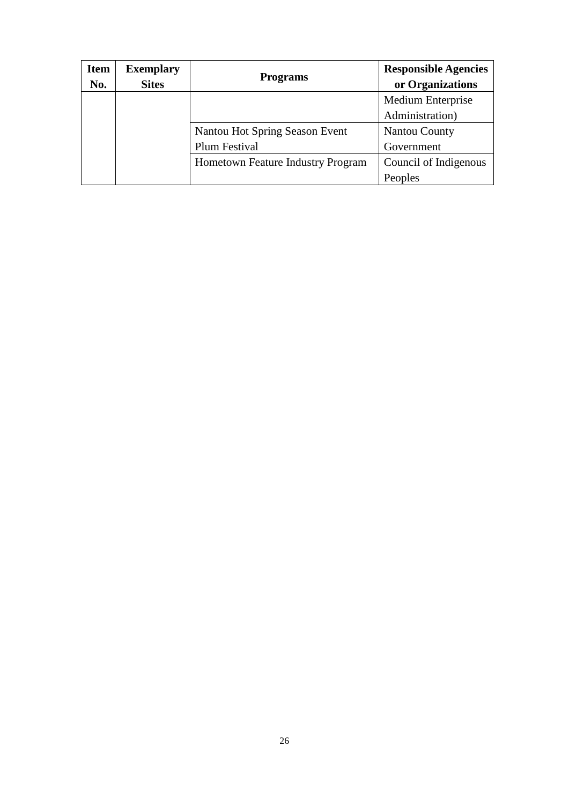| <b>Item</b><br>No. | <b>Exemplary</b><br><b>Sites</b> | <b>Programs</b>                   | <b>Responsible Agencies</b><br>or Organizations |
|--------------------|----------------------------------|-----------------------------------|-------------------------------------------------|
|                    |                                  |                                   | Medium Enterprise                               |
|                    |                                  |                                   | Administration)                                 |
|                    |                                  | Nantou Hot Spring Season Event    | <b>Nantou County</b>                            |
|                    |                                  | Plum Festival                     | Government                                      |
|                    |                                  | Hometown Feature Industry Program | Council of Indigenous                           |
|                    |                                  |                                   | Peoples                                         |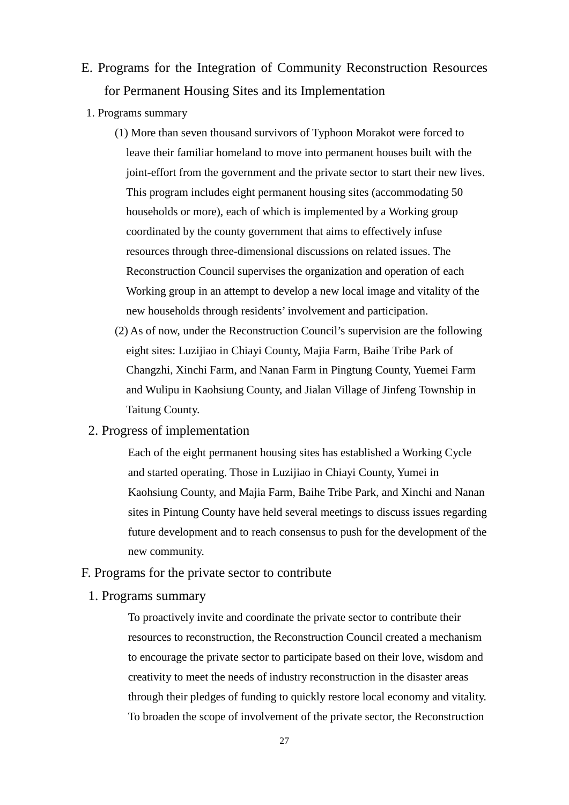- E. Programs for the Integration of Community Reconstruction Resources for Permanent Housing Sites and its Implementation
- 1. Programs summary
	- (1) More than seven thousand survivors of Typhoon Morakot were forced to leave their familiar homeland to move into permanent houses built with the joint-effort from the government and the private sector to start their new lives. This program includes eight permanent housing sites (accommodating 50 households or more), each of which is implemented by a Working group coordinated by the county government that aims to effectively infuse resources through three-dimensional discussions on related issues. The Reconstruction Council supervises the organization and operation of each Working group in an attempt to develop a new local image and vitality of the new households through residents' involvement and participation.
	- (2) As of now, under the Reconstruction Council's supervision are the following eight sites: Luzijiao in Chiayi County, Majia Farm, Baihe Tribe Park of Changzhi, Xinchi Farm, and Nanan Farm in Pingtung County, Yuemei Farm and Wulipu in Kaohsiung County, and Jialan Village of Jinfeng Township in Taitung County.

#### 2. Progress of implementation

Each of the eight permanent housing sites has established a Working Cycle and started operating. Those in Luzijiao in Chiayi County, Yumei in Kaohsiung County, and Majia Farm, Baihe Tribe Park, and Xinchi and Nanan sites in Pintung County have held several meetings to discuss issues regarding future development and to reach consensus to push for the development of the new community.

#### F. Programs for the private sector to contribute

1. Programs summary

To proactively invite and coordinate the private sector to contribute their resources to reconstruction, the Reconstruction Council created a mechanism to encourage the private sector to participate based on their love, wisdom and creativity to meet the needs of industry reconstruction in the disaster areas through their pledges of funding to quickly restore local economy and vitality. To broaden the scope of involvement of the private sector, the Reconstruction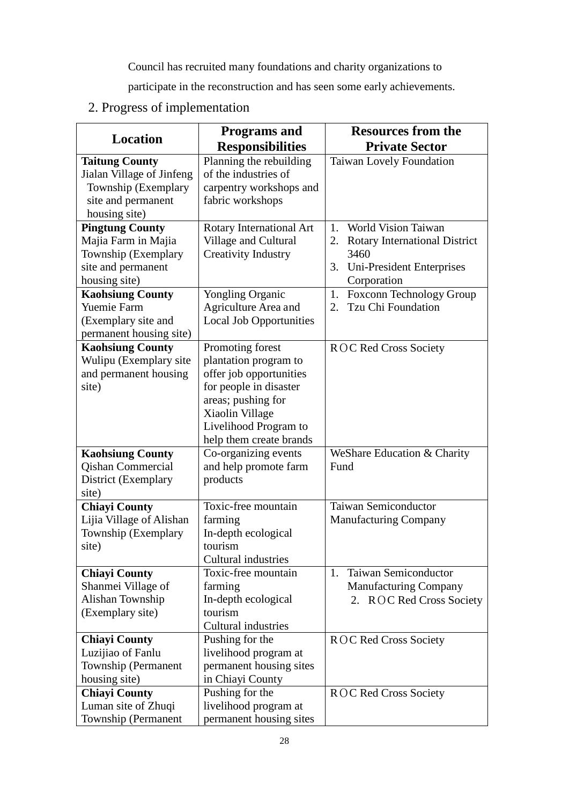Council has recruited many foundations and charity organizations to

participate in the reconstruction and has seen some early achievements.

# 2. Progress of implementation

|                                                                                                                                                                                                                | <b>Programs</b> and                                                                                                                                                                         | <b>Resources from the</b>                                                                                                                                                          |
|----------------------------------------------------------------------------------------------------------------------------------------------------------------------------------------------------------------|---------------------------------------------------------------------------------------------------------------------------------------------------------------------------------------------|------------------------------------------------------------------------------------------------------------------------------------------------------------------------------------|
| <b>Location</b>                                                                                                                                                                                                | <b>Responsibilities</b>                                                                                                                                                                     | <b>Private Sector</b>                                                                                                                                                              |
| <b>Taitung County</b><br>Jialan Village of Jinfeng<br>Township (Exemplary<br>site and permanent<br>housing site)                                                                                               | Planning the rebuilding<br>of the industries of<br>carpentry workshops and<br>fabric workshops                                                                                              | Taiwan Lovely Foundation                                                                                                                                                           |
| <b>Pingtung County</b><br>Majia Farm in Majia<br>Township (Exemplary<br>site and permanent<br>housing site)<br><b>Kaohsiung County</b><br><b>Yuemie Farm</b><br>(Exemplary site and<br>permanent housing site) | Rotary International Art<br>Village and Cultural<br><b>Creativity Industry</b><br><b>Yongling Organic</b><br>Agriculture Area and<br><b>Local Job Opportunities</b>                         | 1. World Vision Taiwan<br>2. Rotary International District<br>3460<br>Uni-President Enterprises<br>3.<br>Corporation<br>Foxconn Technology Group<br>1.<br>Tzu Chi Foundation<br>2. |
| <b>Kaohsiung County</b><br>Wulipu (Exemplary site<br>and permanent housing<br>site)                                                                                                                            | Promoting forest<br>plantation program to<br>offer job opportunities<br>for people in disaster<br>areas; pushing for<br>Xiaolin Village<br>Livelihood Program to<br>help them create brands | <b>ROC Red Cross Society</b>                                                                                                                                                       |
| <b>Kaohsiung County</b><br><b>Qishan Commercial</b><br>District (Exemplary<br>site)                                                                                                                            | Co-organizing events<br>and help promote farm<br>products                                                                                                                                   | WeShare Education & Charity<br>Fund                                                                                                                                                |
| <b>Chiayi County</b><br>Lijia Village of Alishan<br>Township (Exemplary<br>site)                                                                                                                               | Toxic-free mountain<br>farming<br>In-depth ecological<br>tourism<br>Cultural industries                                                                                                     | <b>Taiwan Semiconductor</b><br><b>Manufacturing Company</b>                                                                                                                        |
| <b>Chiayi County</b><br>Shanmei Village of<br>Alishan Township<br>(Exemplary site)                                                                                                                             | Toxic-free mountain<br>farming<br>In-depth ecological<br>tourism<br><b>Cultural industries</b>                                                                                              | <b>Taiwan Semiconductor</b><br>1.<br><b>Manufacturing Company</b><br><b>ROC Red Cross Society</b><br>2.                                                                            |
| <b>Chiayi County</b><br>Luzijiao of Fanlu<br>Township (Permanent<br>housing site)                                                                                                                              | Pushing for the<br>livelihood program at<br>permanent housing sites<br>in Chiayi County                                                                                                     | ROC Red Cross Society                                                                                                                                                              |
| <b>Chiayi County</b><br>Luman site of Zhuqi<br>Township (Permanent                                                                                                                                             | Pushing for the<br>livelihood program at<br>permanent housing sites                                                                                                                         | ROC Red Cross Society                                                                                                                                                              |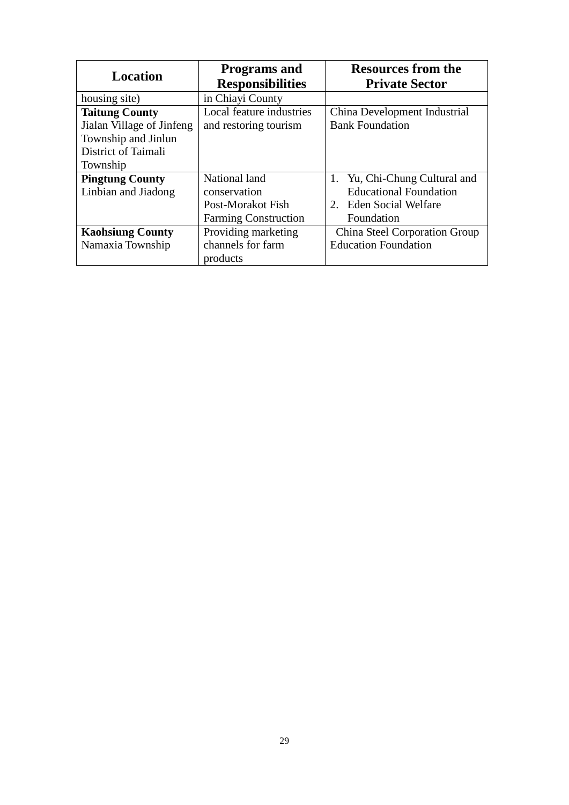| <b>Location</b>           | <b>Programs and</b><br><b>Responsibilities</b> | <b>Resources from the</b><br><b>Private Sector</b> |
|---------------------------|------------------------------------------------|----------------------------------------------------|
| housing site)             | in Chiayi County                               |                                                    |
| <b>Taitung County</b>     | Local feature industries                       | China Development Industrial                       |
| Jialan Village of Jinfeng | and restoring tourism                          | <b>Bank Foundation</b>                             |
| Township and Jinlun       |                                                |                                                    |
| District of Taimali       |                                                |                                                    |
| Township                  |                                                |                                                    |
| <b>Pingtung County</b>    | National land                                  | Yu, Chi-Chung Cultural and                         |
| Linbian and Jiadong       | conservation                                   | <b>Educational Foundation</b>                      |
|                           | Post-Morakot Fish                              | <b>Eden Social Welfare</b><br>$2^{\circ}$          |
|                           | <b>Farming Construction</b>                    | Foundation                                         |
| <b>Kaohsiung County</b>   | Providing marketing                            | China Steel Corporation Group                      |
| Namaxia Township          | channels for farm                              | <b>Education Foundation</b>                        |
|                           | products                                       |                                                    |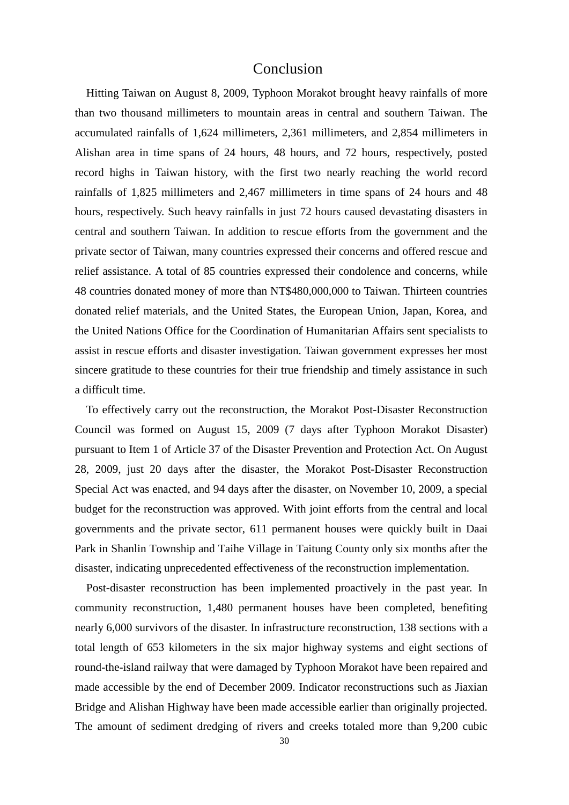### Conclusion

Hitting Taiwan on August 8, 2009, Typhoon Morakot brought heavy rainfalls of more than two thousand millimeters to mountain areas in central and southern Taiwan. The accumulated rainfalls of 1,624 millimeters, 2,361 millimeters, and 2,854 millimeters in Alishan area in time spans of 24 hours, 48 hours, and 72 hours, respectively, posted record highs in Taiwan history, with the first two nearly reaching the world record rainfalls of 1,825 millimeters and 2,467 millimeters in time spans of 24 hours and 48 hours, respectively. Such heavy rainfalls in just 72 hours caused devastating disasters in central and southern Taiwan. In addition to rescue efforts from the government and the private sector of Taiwan, many countries expressed their concerns and offered rescue and relief assistance. A total of 85 countries expressed their condolence and concerns, while 48 countries donated money of more than NT\$480,000,000 to Taiwan. Thirteen countries donated relief materials, and the United States, the European Union, Japan, Korea, and the United Nations Office for the Coordination of Humanitarian Affairs sent specialists to assist in rescue efforts and disaster investigation. Taiwan government expresses her most sincere gratitude to these countries for their true friendship and timely assistance in such a difficult time.

To effectively carry out the reconstruction, the Morakot Post-Disaster Reconstruction Council was formed on August 15, 2009 (7 days after Typhoon Morakot Disaster) pursuant to Item 1 of Article 37 of the Disaster Prevention and Protection Act. On August 28, 2009, just 20 days after the disaster, the Morakot Post-Disaster Reconstruction Special Act was enacted, and 94 days after the disaster, on November 10, 2009, a special budget for the reconstruction was approved. With joint efforts from the central and local governments and the private sector, 611 permanent houses were quickly built in Daai Park in Shanlin Township and Taihe Village in Taitung County only six months after the disaster, indicating unprecedented effectiveness of the reconstruction implementation.

Post-disaster reconstruction has been implemented proactively in the past year. In community reconstruction, 1,480 permanent houses have been completed, benefiting nearly 6,000 survivors of the disaster. In infrastructure reconstruction, 138 sections with a total length of 653 kilometers in the six major highway systems and eight sections of round-the-island railway that were damaged by Typhoon Morakot have been repaired and made accessible by the end of December 2009. Indicator reconstructions such as Jiaxian Bridge and Alishan Highway have been made accessible earlier than originally projected. The amount of sediment dredging of rivers and creeks totaled more than 9,200 cubic